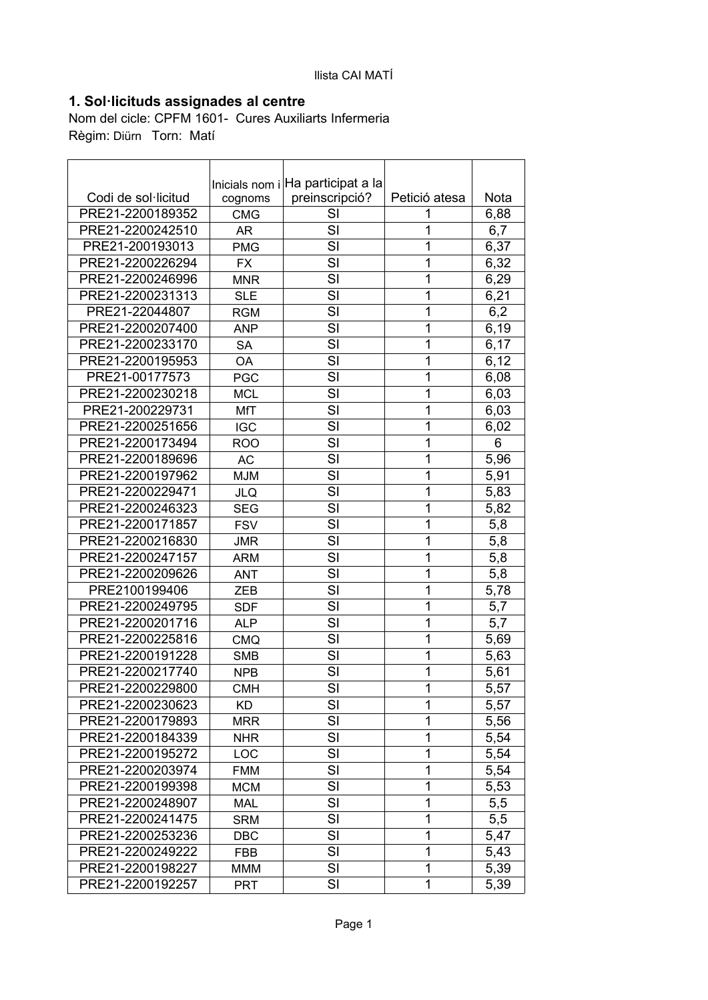## **1. Sol·licituds assignades al centre**

Nom del cicle: CPFM 1601- Cures Auxiliarts Infermeria Règim: Diürn Torn: Matí

| Inicials nom i Ha participat a la<br>Codi de sol·licitud<br>preinscripció?<br>Petició atesa<br>Nota<br>cognoms<br>PRE21-2200189352<br>SI<br><b>CMG</b><br>6,88<br>1<br>SI<br>1<br>PRE21-2200242510<br>6,7<br>AR<br>6,37<br>SI<br>1<br>PRE21-200193013<br><b>PMG</b><br>1<br>SI<br>6,32<br>PRE21-2200226294<br><b>FX</b><br>SI<br>6,29<br>PRE21-2200246996<br>1<br><b>MNR</b><br>SI<br>1<br>6,21<br>PRE21-2200231313<br><b>SLE</b><br>SI<br>1<br>PRE21-22044807<br>6,2<br><b>RGM</b><br>SI<br>1<br>PRE21-2200207400<br>6,19<br><b>ANP</b><br>SI<br>1<br>PRE21-2200233170<br><b>SA</b><br>6,17<br>SI<br>1<br>PRE21-2200195953<br>6,12<br>OA<br>SI<br>1<br>PRE21-00177573<br>6,08<br><b>PGC</b><br>SI<br>1<br>PRE21-2200230218<br><b>MCL</b><br>6,03<br>SI<br>1<br>PRE21-200229731<br>6,03<br><b>MfT</b> |
|-------------------------------------------------------------------------------------------------------------------------------------------------------------------------------------------------------------------------------------------------------------------------------------------------------------------------------------------------------------------------------------------------------------------------------------------------------------------------------------------------------------------------------------------------------------------------------------------------------------------------------------------------------------------------------------------------------------------------------------------------------------------------------------------------------|
|                                                                                                                                                                                                                                                                                                                                                                                                                                                                                                                                                                                                                                                                                                                                                                                                       |
|                                                                                                                                                                                                                                                                                                                                                                                                                                                                                                                                                                                                                                                                                                                                                                                                       |
|                                                                                                                                                                                                                                                                                                                                                                                                                                                                                                                                                                                                                                                                                                                                                                                                       |
|                                                                                                                                                                                                                                                                                                                                                                                                                                                                                                                                                                                                                                                                                                                                                                                                       |
|                                                                                                                                                                                                                                                                                                                                                                                                                                                                                                                                                                                                                                                                                                                                                                                                       |
|                                                                                                                                                                                                                                                                                                                                                                                                                                                                                                                                                                                                                                                                                                                                                                                                       |
|                                                                                                                                                                                                                                                                                                                                                                                                                                                                                                                                                                                                                                                                                                                                                                                                       |
|                                                                                                                                                                                                                                                                                                                                                                                                                                                                                                                                                                                                                                                                                                                                                                                                       |
|                                                                                                                                                                                                                                                                                                                                                                                                                                                                                                                                                                                                                                                                                                                                                                                                       |
|                                                                                                                                                                                                                                                                                                                                                                                                                                                                                                                                                                                                                                                                                                                                                                                                       |
|                                                                                                                                                                                                                                                                                                                                                                                                                                                                                                                                                                                                                                                                                                                                                                                                       |
|                                                                                                                                                                                                                                                                                                                                                                                                                                                                                                                                                                                                                                                                                                                                                                                                       |
|                                                                                                                                                                                                                                                                                                                                                                                                                                                                                                                                                                                                                                                                                                                                                                                                       |
|                                                                                                                                                                                                                                                                                                                                                                                                                                                                                                                                                                                                                                                                                                                                                                                                       |
|                                                                                                                                                                                                                                                                                                                                                                                                                                                                                                                                                                                                                                                                                                                                                                                                       |
| $\overline{1}$<br>SI<br>PRE21-2200251656<br>6,02<br><b>IGC</b>                                                                                                                                                                                                                                                                                                                                                                                                                                                                                                                                                                                                                                                                                                                                        |
| SI<br>1<br>PRE21-2200173494<br>6<br><b>ROO</b>                                                                                                                                                                                                                                                                                                                                                                                                                                                                                                                                                                                                                                                                                                                                                        |
| SI<br>5,96<br>1<br>PRE21-2200189696<br><b>AC</b>                                                                                                                                                                                                                                                                                                                                                                                                                                                                                                                                                                                                                                                                                                                                                      |
| SI<br>1<br>5,91<br>PRE21-2200197962<br><b>MJM</b>                                                                                                                                                                                                                                                                                                                                                                                                                                                                                                                                                                                                                                                                                                                                                     |
| 1<br>SI<br>PRE21-2200229471<br>5,83<br><b>JLQ</b>                                                                                                                                                                                                                                                                                                                                                                                                                                                                                                                                                                                                                                                                                                                                                     |
| SI<br>1<br>PRE21-2200246323<br>5,82<br><b>SEG</b>                                                                                                                                                                                                                                                                                                                                                                                                                                                                                                                                                                                                                                                                                                                                                     |
| SI<br>1<br>PRE21-2200171857<br>5,8<br><b>FSV</b>                                                                                                                                                                                                                                                                                                                                                                                                                                                                                                                                                                                                                                                                                                                                                      |
| SI<br>1<br>PRE21-2200216830<br>5,8<br><b>JMR</b>                                                                                                                                                                                                                                                                                                                                                                                                                                                                                                                                                                                                                                                                                                                                                      |
| SI<br>PRE21-2200247157<br>1<br>5,8<br><b>ARM</b>                                                                                                                                                                                                                                                                                                                                                                                                                                                                                                                                                                                                                                                                                                                                                      |
| SI<br>1<br>5,8<br>PRE21-2200209626<br><b>ANT</b>                                                                                                                                                                                                                                                                                                                                                                                                                                                                                                                                                                                                                                                                                                                                                      |
| SI<br>1<br>PRE2100199406<br>5,78<br>ZEB                                                                                                                                                                                                                                                                                                                                                                                                                                                                                                                                                                                                                                                                                                                                                               |
| PRE21-2200249795<br>SI<br>1<br><b>SDF</b><br>5,7                                                                                                                                                                                                                                                                                                                                                                                                                                                                                                                                                                                                                                                                                                                                                      |
| SI<br>1<br>PRE21-2200201716<br>5,7<br><b>ALP</b>                                                                                                                                                                                                                                                                                                                                                                                                                                                                                                                                                                                                                                                                                                                                                      |
| SI<br>1<br>PRE21-2200225816<br>5,69<br><b>CMQ</b>                                                                                                                                                                                                                                                                                                                                                                                                                                                                                                                                                                                                                                                                                                                                                     |
| SI<br>1<br>PRE21-2200191228<br>5,63<br><b>SMB</b>                                                                                                                                                                                                                                                                                                                                                                                                                                                                                                                                                                                                                                                                                                                                                     |
| SI<br>PRE21-2200217740<br>1<br>5,61<br><b>NPB</b>                                                                                                                                                                                                                                                                                                                                                                                                                                                                                                                                                                                                                                                                                                                                                     |
| SI<br>1<br>5,57<br>PRE21-2200229800<br><b>CMH</b>                                                                                                                                                                                                                                                                                                                                                                                                                                                                                                                                                                                                                                                                                                                                                     |
| PRE21-2200230623<br>SI<br>1<br>5,57<br>KD                                                                                                                                                                                                                                                                                                                                                                                                                                                                                                                                                                                                                                                                                                                                                             |
| SI<br>PRE21-2200179893<br>1<br>5,56<br><b>MRR</b>                                                                                                                                                                                                                                                                                                                                                                                                                                                                                                                                                                                                                                                                                                                                                     |
| SI<br>1<br>5,54<br>PRE21-2200184339<br><b>NHR</b>                                                                                                                                                                                                                                                                                                                                                                                                                                                                                                                                                                                                                                                                                                                                                     |
| SI<br>1<br>5,54<br>PRE21-2200195272<br>LOC                                                                                                                                                                                                                                                                                                                                                                                                                                                                                                                                                                                                                                                                                                                                                            |
| SI<br>1<br>5,54<br>PRE21-2200203974<br><b>FMM</b>                                                                                                                                                                                                                                                                                                                                                                                                                                                                                                                                                                                                                                                                                                                                                     |
| SI<br>$\mathbf 1$<br>PRE21-2200199398<br>5,53<br><b>MCM</b>                                                                                                                                                                                                                                                                                                                                                                                                                                                                                                                                                                                                                                                                                                                                           |
| 1<br>PRE21-2200248907<br>SI<br>5,5<br><b>MAL</b>                                                                                                                                                                                                                                                                                                                                                                                                                                                                                                                                                                                                                                                                                                                                                      |
| SI<br>1<br>5,5<br>PRE21-2200241475<br><b>SRM</b>                                                                                                                                                                                                                                                                                                                                                                                                                                                                                                                                                                                                                                                                                                                                                      |
| SI<br>1<br>PRE21-2200253236<br><b>DBC</b><br>5,47                                                                                                                                                                                                                                                                                                                                                                                                                                                                                                                                                                                                                                                                                                                                                     |
| SI<br>1<br>PRE21-2200249222<br>5,43<br>FBB                                                                                                                                                                                                                                                                                                                                                                                                                                                                                                                                                                                                                                                                                                                                                            |
| SI<br>1<br>PRE21-2200198227<br>5,39<br><b>MMM</b>                                                                                                                                                                                                                                                                                                                                                                                                                                                                                                                                                                                                                                                                                                                                                     |
| SI<br>PRE21-2200192257<br>1<br>5,39<br><b>PRT</b>                                                                                                                                                                                                                                                                                                                                                                                                                                                                                                                                                                                                                                                                                                                                                     |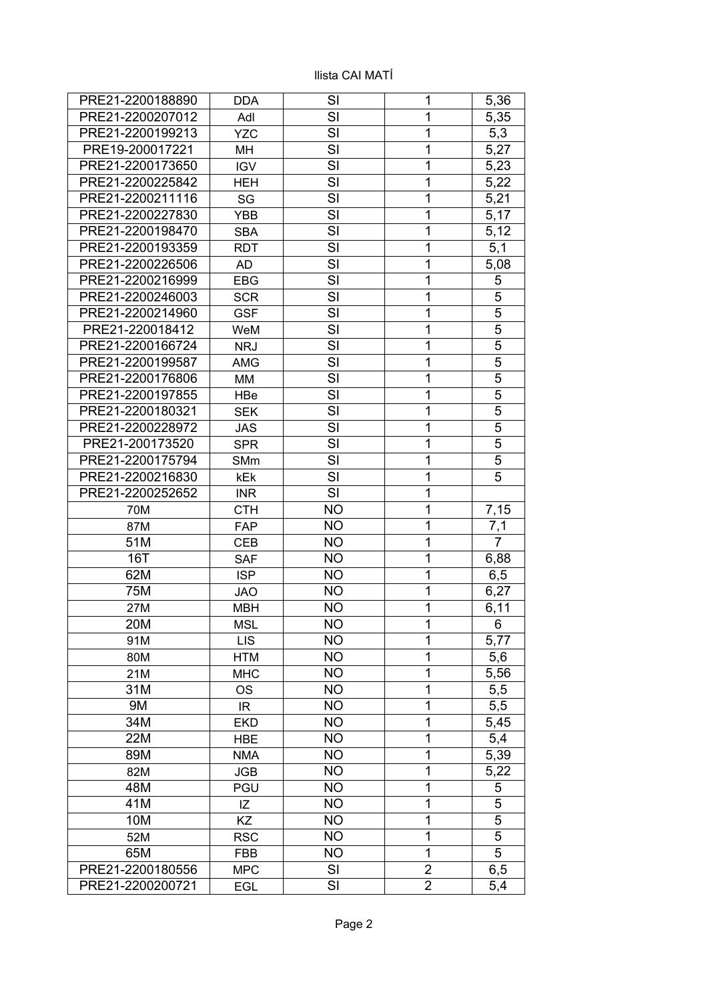| PRE21-2200188890 | <b>DDA</b> | SI        | 1              | 5,36           |
|------------------|------------|-----------|----------------|----------------|
| PRE21-2200207012 | Adl        | SI        | 1              | 5,35           |
| PRE21-2200199213 | <b>YZC</b> | SI        | 1              | 5,3            |
| PRE19-200017221  | MH         | SI        | 1              | 5,27           |
| PRE21-2200173650 | <b>IGV</b> | SI        | 1              | 5,23           |
| PRE21-2200225842 | <b>HEH</b> | SI        | 1              | 5,22           |
| PRE21-2200211116 | SG         | SI        | 1              | 5,21           |
| PRE21-2200227830 | <b>YBB</b> | SI        | 1              | 5,17           |
| PRE21-2200198470 | <b>SBA</b> | SI        | 1              | 5,12           |
| PRE21-2200193359 | <b>RDT</b> | SI        | 1              | 5,1            |
| PRE21-2200226506 | <b>AD</b>  | SI        | 1              | 5,08           |
| PRE21-2200216999 | <b>EBG</b> | SI        | 1              | 5              |
| PRE21-2200246003 | <b>SCR</b> | SI        | 1              | 5              |
| PRE21-2200214960 | <b>GSF</b> | SI        | 1              | 5              |
| PRE21-220018412  | WeM        | SI        | 1              | $\overline{5}$ |
| PRE21-2200166724 | <b>NRJ</b> | SI        | 1              | $\overline{5}$ |
| PRE21-2200199587 | <b>AMG</b> | SI        | 1              | 5              |
| PRE21-2200176806 | <b>MM</b>  | SI        | 1              | 5              |
| PRE21-2200197855 | HBe        | SI        | 1              | 5              |
| PRE21-2200180321 | <b>SEK</b> | SI        | 1              | $\overline{5}$ |
| PRE21-2200228972 | <b>JAS</b> | SI        | 1              | 5              |
| PRE21-200173520  | <b>SPR</b> | SI        | 1              | 5              |
| PRE21-2200175794 | SMm        | SI        | 1              | $\overline{5}$ |
| PRE21-2200216830 | kEk        | SI        | 1              | 5              |
| PRE21-2200252652 | <b>INR</b> | SI        | 1              |                |
| 70M              | <b>CTH</b> | <b>NO</b> | 1              | 7,15           |
| 87M              | <b>FAP</b> | <b>NO</b> | 1              | 7,1            |
| 51M              | <b>CEB</b> | <b>NO</b> | $\overline{1}$ | $\overline{7}$ |
| 16T              | <b>SAF</b> | <b>NO</b> | 1              | 6,88           |
| 62M              | <b>ISP</b> | <b>NO</b> | 1              | 6,5            |
| 75M              | <b>JAO</b> | <b>NO</b> | 1              | 6,27           |
| 27M              | <b>MBH</b> | <b>NO</b> | 1              | 6,11           |
| 20M              | MSL        | <b>NO</b> | 1              | 6              |
| 91M              | <b>LIS</b> | <b>NO</b> | 1              | 5,77           |
| 80M              | <b>HTM</b> | <b>NO</b> | 1              | 5,6            |
| 21M              | <b>MHC</b> | <b>NO</b> | 1              | 5,56           |
| 31M              | <b>OS</b>  | <b>NO</b> | 1              | 5,5            |
| <b>9M</b>        | IR         | <b>NO</b> | 1              | 5,5            |
| 34M              | <b>EKD</b> | <b>NO</b> | 1              | 5,45           |
| 22M              | <b>HBE</b> | <b>NO</b> | 1              | 5,4            |
| 89M              | <b>NMA</b> | <b>NO</b> | 1              | 5,39           |
| 82M              | <b>JGB</b> | <b>NO</b> | 1              | 5,22           |
| 48M              | <b>PGU</b> | <b>NO</b> | 1              | 5              |
| 41M              | IZ         | <b>NO</b> | 1              | 5              |
| 10M              | <b>KZ</b>  | <b>NO</b> | 1              | 5              |
| 52M              | <b>RSC</b> | <b>NO</b> | 1              | 5              |
| 65M              | <b>FBB</b> | <b>NO</b> | 1              | $\overline{5}$ |
| PRE21-2200180556 | <b>MPC</b> | SI        | $\overline{2}$ | 6,5            |
| PRE21-2200200721 | EGL        | SI        | $\overline{2}$ | 5,4            |
|                  |            |           |                |                |

## llista CAI MATÍ